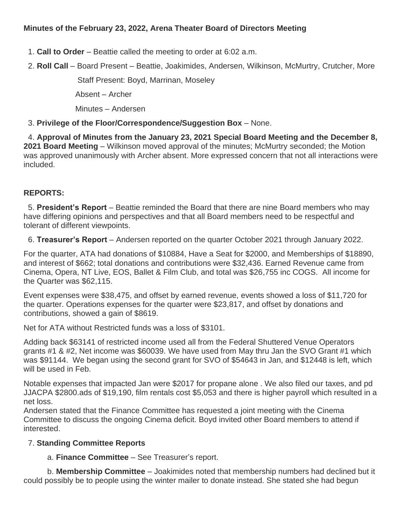1. **Call to Order** – Beattie called the meeting to order at 6:02 a.m.

2. **Roll Call** – Board Present – Beattie, Joakimides, Andersen, Wilkinson, McMurtry, Crutcher, More

Staff Present: Boyd, Marrinan, Moseley

Absent – Archer

Minutes – Andersen

### 3. **Privilege of the Floor/Correspondence/Suggestion Box** – None.

4. **Approval of Minutes from the January 23, 2021 Special Board Meeting and the December 8, 2021 Board Meeting** – Wilkinson moved approval of the minutes; McMurtry seconded; the Motion was approved unanimously with Archer absent. More expressed concern that not all interactions were included.

# **REPORTS:**

5. **President's Report** – Beattie reminded the Board that there are nine Board members who may have differing opinions and perspectives and that all Board members need to be respectful and tolerant of different viewpoints.

6. **Treasurer's Report** – Andersen reported on the quarter October 2021 through January 2022.

For the quarter, ATA had donations of \$10884, Have a Seat for \$2000, and Memberships of \$18890, and interest of \$662; total donations and contributions were \$32,436. Earned Revenue came from Cinema, Opera, NT Live, EOS, Ballet & Film Club, and total was \$26,755 inc COGS. All income for the Quarter was \$62,115.

Event expenses were \$38,475, and offset by earned revenue, events showed a loss of \$11,720 for the quarter. Operations expenses for the quarter were \$23,817, and offset by donations and contributions, showed a gain of \$8619.

Net for ATA without Restricted funds was a loss of \$3101.

Adding back \$63141 of restricted income used all from the Federal Shuttered Venue Operators grants #1 & #2, Net income was \$60039. We have used from May thru Jan the SVO Grant #1 which was \$91144. We began using the second grant for SVO of \$54643 in Jan, and \$12448 is left, which will be used in Feb.

Notable expenses that impacted Jan were \$2017 for propane alone . We also filed our taxes, and pd JJACPA \$2800.ads of \$19,190, film rentals cost \$5,053 and there is higher payroll which resulted in a net loss.

Andersen stated that the Finance Committee has requested a joint meeting with the Cinema Committee to discuss the ongoing Cinema deficit. Boyd invited other Board members to attend if interested.

# 7. **Standing Committee Reports**

a. **Finance Committee** – See Treasurer's report.

b. **Membership Committee** – Joakimides noted that membership numbers had declined but it could possibly be to people using the winter mailer to donate instead. She stated she had begun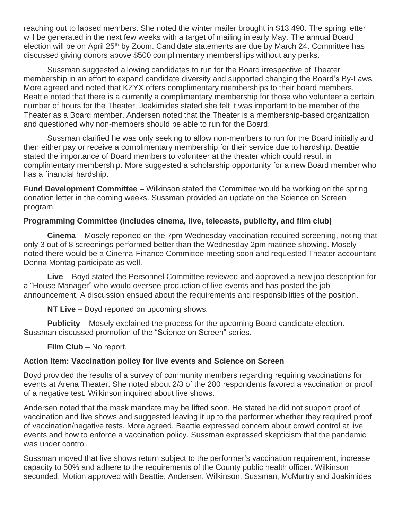reaching out to lapsed members. She noted the winter mailer brought in \$13,490. The spring letter will be generated in the next few weeks with a target of mailing in early May. The annual Board election will be on April 25<sup>th</sup> by Zoom. Candidate statements are due by March 24. Committee has discussed giving donors above \$500 complimentary memberships without any perks.

Sussman suggested allowing candidates to run for the Board irrespective of Theater membership in an effort to expand candidate diversity and supported changing the Board's By-Laws. More agreed and noted that KZYX offers complimentary memberships to their board members. Beattie noted that there is a currently a complimentary membership for those who volunteer a certain number of hours for the Theater. Joakimides stated she felt it was important to be member of the Theater as a Board member. Andersen noted that the Theater is a membership-based organization and questioned why non-members should be able to run for the Board.

Sussman clarified he was only seeking to allow non-members to run for the Board initially and then either pay or receive a complimentary membership for their service due to hardship. Beattie stated the importance of Board members to volunteer at the theater which could result in complimentary membership. More suggested a scholarship opportunity for a new Board member who has a financial hardship.

**Fund Development Committee** – Wilkinson stated the Committee would be working on the spring donation letter in the coming weeks. Sussman provided an update on the Science on Screen program.

#### **Programming Committee (includes cinema, live, telecasts, publicity, and film club)**

**Cinema** – Mosely reported on the 7pm Wednesday vaccination-required screening, noting that only 3 out of 8 screenings performed better than the Wednesday 2pm matinee showing. Mosely noted there would be a Cinema-Finance Committee meeting soon and requested Theater accountant Donna Montag participate as well.

**Live** – Boyd stated the Personnel Committee reviewed and approved a new job description for a "House Manager" who would oversee production of live events and has posted the job announcement. A discussion ensued about the requirements and responsibilities of the position.

**NT Live** – Boyd reported on upcoming shows.

**Publicity** – Mosely explained the process for the upcoming Board candidate election. Sussman discussed promotion of the "Science on Screen" series.

**Film Club – No report.** 

#### **Action Item: Vaccination policy for live events and Science on Screen**

Boyd provided the results of a survey of community members regarding requiring vaccinations for events at Arena Theater. She noted about 2/3 of the 280 respondents favored a vaccination or proof of a negative test. Wilkinson inquired about live shows.

Andersen noted that the mask mandate may be lifted soon. He stated he did not support proof of vaccination and live shows and suggested leaving it up to the performer whether they required proof of vaccination/negative tests. More agreed. Beattie expressed concern about crowd control at live events and how to enforce a vaccination policy. Sussman expressed skepticism that the pandemic was under control.

Sussman moved that live shows return subject to the performer's vaccination requirement, increase capacity to 50% and adhere to the requirements of the County public health officer. Wilkinson seconded. Motion approved with Beattie, Andersen, Wilkinson, Sussman, McMurtry and Joakimides